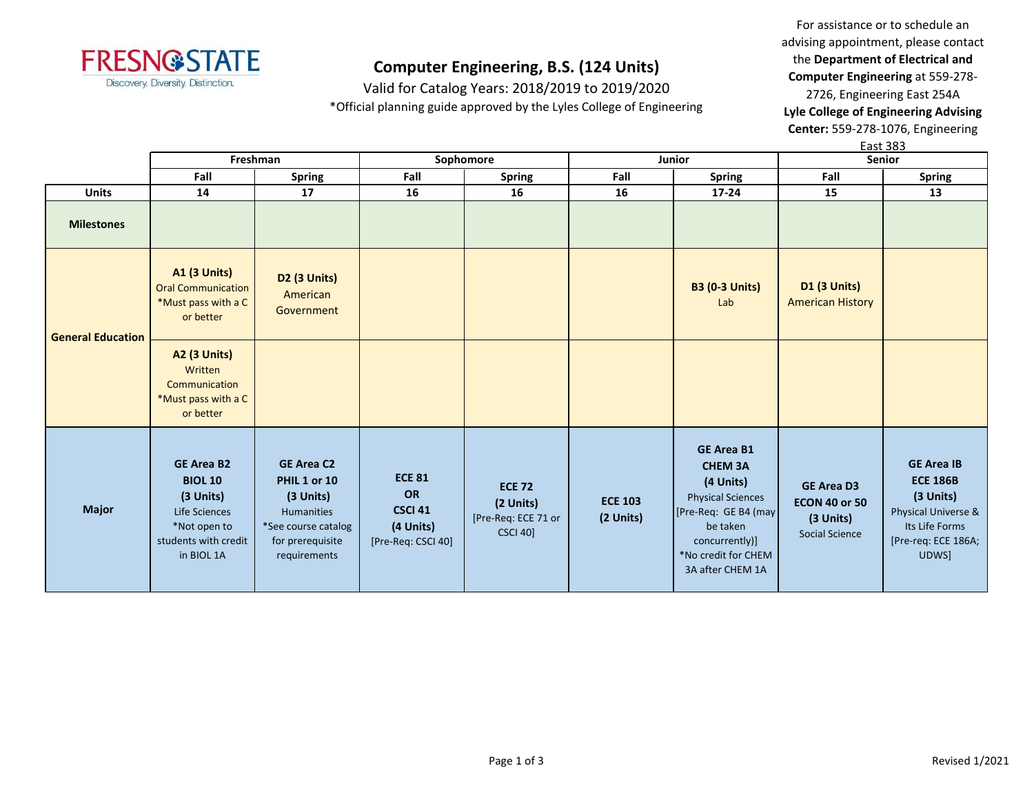

Valid for Catalog Years: 2018/2019 to 2019/2020 \*Official planning guide approved by the Lyles College of Engineering

For assistance or to schedule an advising appointment, please contact the **Department of Electrical and Computer Engineering** at 559-278- 2726, Engineering East 254A **Lyle College of Engineering Advising Center:** 559-278-1076, Engineering

|                          |                                                                                                                         |                                                                                                                         |                                                                          |                                                                      |                             |                                                                                                                                                                               |                                                                                 | East 383                                                                                                                   |
|--------------------------|-------------------------------------------------------------------------------------------------------------------------|-------------------------------------------------------------------------------------------------------------------------|--------------------------------------------------------------------------|----------------------------------------------------------------------|-----------------------------|-------------------------------------------------------------------------------------------------------------------------------------------------------------------------------|---------------------------------------------------------------------------------|----------------------------------------------------------------------------------------------------------------------------|
|                          |                                                                                                                         | Freshman                                                                                                                | Sophomore                                                                |                                                                      |                             | Junior                                                                                                                                                                        | Senior                                                                          |                                                                                                                            |
|                          | Fall                                                                                                                    | <b>Spring</b>                                                                                                           | Fall                                                                     | <b>Spring</b>                                                        | Fall                        | <b>Spring</b>                                                                                                                                                                 | Fall                                                                            | <b>Spring</b>                                                                                                              |
| <b>Units</b>             | 14                                                                                                                      | 17                                                                                                                      | 16                                                                       | 16                                                                   | 16                          | $17 - 24$                                                                                                                                                                     | 15                                                                              | 13                                                                                                                         |
| <b>Milestones</b>        |                                                                                                                         |                                                                                                                         |                                                                          |                                                                      |                             |                                                                                                                                                                               |                                                                                 |                                                                                                                            |
| <b>General Education</b> | <b>A1 (3 Units)</b><br><b>Oral Communication</b><br>*Must pass with a C<br>or better                                    | D2 (3 Units)<br>American<br>Government                                                                                  |                                                                          |                                                                      |                             | <b>B3 (0-3 Units)</b><br>Lab                                                                                                                                                  | <b>D1 (3 Units)</b><br><b>American History</b>                                  |                                                                                                                            |
|                          | <b>A2 (3 Units)</b><br>Written<br>Communication<br>*Must pass with a C<br>or better                                     |                                                                                                                         |                                                                          |                                                                      |                             |                                                                                                                                                                               |                                                                                 |                                                                                                                            |
| <b>Major</b>             | <b>GE Area B2</b><br><b>BIOL 10</b><br>(3 Units)<br>Life Sciences<br>*Not open to<br>students with credit<br>in BIOL 1A | <b>GE Area C2</b><br>PHIL 1 or 10<br>(3 Units)<br>Humanities<br>*See course catalog<br>for prerequisite<br>requirements | <b>ECE 81</b><br>OR<br><b>CSCI 41</b><br>(4 Units)<br>[Pre-Req: CSCI 40] | <b>ECE 72</b><br>(2 Units)<br>[Pre-Req: ECE 71 or<br><b>CSCI 40]</b> | <b>ECE 103</b><br>(2 Units) | <b>GE Area B1</b><br><b>CHEM 3A</b><br>(4 Units)<br><b>Physical Sciences</b><br>[Pre-Req: GE B4 (may<br>be taken<br>concurrently)]<br>*No credit for CHEM<br>3A after CHEM 1A | <b>GE Area D3</b><br><b>ECON 40 or 50</b><br>(3 Units)<br><b>Social Science</b> | <b>GE Area IB</b><br><b>ECE 186B</b><br>(3 Units)<br>Physical Universe &<br>Its Life Forms<br>[Pre-req: ECE 186A;<br>UDWS] |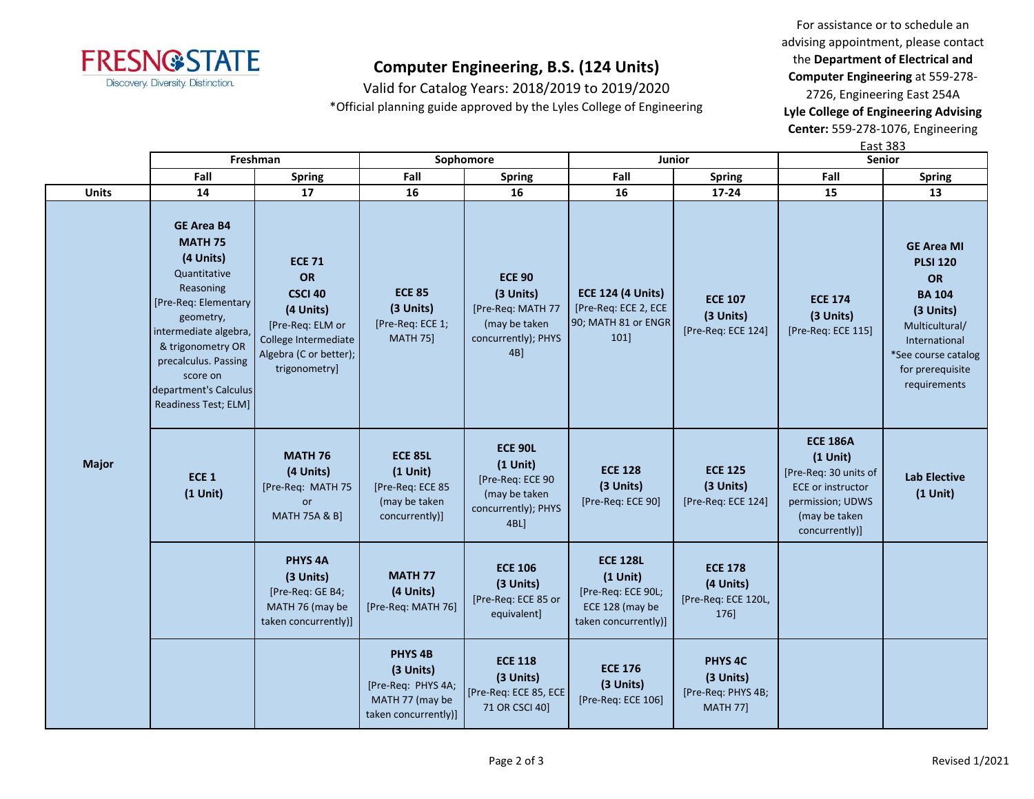

Valid for Catalog Years: 2018/2019 to 2019/2020 \*Official planning guide approved by the Lyles College of Engineering

For assistance or to schedule an advising appointment, please contact the **Department of Electrical and Computer Engineering** at 559-278- 2726, Engineering East 254A **Lyle College of Engineering Advising Center:** 559-278-1076, Engineering

|              |                                                                                                                                                                                                                                                       |                                                                                                                                           |                                                                                                  |                                                                                                   |                                                                                                | East 383                                                                 |                                                                                                                                           |                                                                                                                                                                        |
|--------------|-------------------------------------------------------------------------------------------------------------------------------------------------------------------------------------------------------------------------------------------------------|-------------------------------------------------------------------------------------------------------------------------------------------|--------------------------------------------------------------------------------------------------|---------------------------------------------------------------------------------------------------|------------------------------------------------------------------------------------------------|--------------------------------------------------------------------------|-------------------------------------------------------------------------------------------------------------------------------------------|------------------------------------------------------------------------------------------------------------------------------------------------------------------------|
|              |                                                                                                                                                                                                                                                       | Freshman                                                                                                                                  | Sophomore                                                                                        |                                                                                                   | <b>Junior</b>                                                                                  |                                                                          |                                                                                                                                           | Senior                                                                                                                                                                 |
|              | Fall                                                                                                                                                                                                                                                  | <b>Spring</b>                                                                                                                             | Fall                                                                                             | <b>Spring</b>                                                                                     | Fall                                                                                           | <b>Spring</b>                                                            | Fall                                                                                                                                      | <b>Spring</b>                                                                                                                                                          |
| <b>Units</b> | 14                                                                                                                                                                                                                                                    | 17                                                                                                                                        | 16                                                                                               | 16                                                                                                | 16                                                                                             | 17-24                                                                    | 15                                                                                                                                        | 13                                                                                                                                                                     |
| <b>Major</b> | <b>GE Area B4</b><br><b>MATH 75</b><br>(4 Units)<br>Quantitative<br>Reasoning<br>[Pre-Req: Elementary<br>geometry,<br>intermediate algebra,<br>& trigonometry OR<br>precalculus. Passing<br>score on<br>department's Calculus<br>Readiness Test; ELM] | <b>ECE 71</b><br>OR<br><b>CSCI 40</b><br>(4 Units)<br>[Pre-Req: ELM or<br>College Intermediate<br>Algebra (C or better);<br>trigonometry] | <b>ECE 85</b><br>(3 Units)<br>[Pre-Req: ECE 1;<br><b>MATH 75]</b>                                | <b>ECE 90</b><br>(3 Units)<br>[Pre-Req: MATH 77<br>(may be taken<br>concurrently); PHYS<br>$4B$ ] | <b>ECE 124 (4 Units)</b><br>[Pre-Req: ECE 2, ECE<br>90; MATH 81 or ENGR<br>101]                | <b>ECE 107</b><br>(3 Units)<br>[Pre-Req: ECE 124]                        | <b>ECE 174</b><br>(3 Units)<br>[Pre-Req: ECE 115]                                                                                         | <b>GE Area MI</b><br><b>PLSI 120</b><br>OR<br><b>BA 104</b><br>(3 Units)<br>Multicultural/<br>International<br>*See course catalog<br>for prerequisite<br>requirements |
|              | ECE <sub>1</sub><br>$(1$ Unit)                                                                                                                                                                                                                        | <b>MATH 76</b><br>(4 Units)<br>[Pre-Req: MATH 75<br>or<br><b>MATH 75A &amp; B]</b>                                                        | <b>ECE 85L</b><br>$(1$ Unit)<br>[Pre-Req: ECE 85<br>(may be taken<br>concurrently)]              | <b>ECE 90L</b><br>$(1$ Unit)<br>[Pre-Req: ECE 90<br>(may be taken<br>concurrently); PHYS<br>4BL]  | <b>ECE 128</b><br>(3 Units)<br>[Pre-Req: ECE 90]                                               | <b>ECE 125</b><br>(3 Units)<br>[Pre-Req: ECE 124]                        | <b>ECE 186A</b><br>$(1$ Unit)<br>[Pre-Req: 30 units of<br><b>ECE</b> or instructor<br>permission; UDWS<br>(may be taken<br>concurrently)] | <b>Lab Elective</b><br>$(1$ Unit)                                                                                                                                      |
|              |                                                                                                                                                                                                                                                       | PHYS <sub>4A</sub><br>(3 Units)<br>[Pre-Req: GE B4;<br>MATH 76 (may be<br>taken concurrently)]                                            | <b>MATH 77</b><br>(4 Units)<br>[Pre-Req: MATH 76]                                                | <b>ECE 106</b><br>(3 Units)<br>[Pre-Req: ECE 85 or<br>equivalent]                                 | <b>ECE 128L</b><br>$(1$ Unit)<br>[Pre-Req: ECE 90L;<br>ECE 128 (may be<br>taken concurrently)] | <b>ECE 178</b><br>(4 Units)<br>[Pre-Req: ECE 120L,<br>176]               |                                                                                                                                           |                                                                                                                                                                        |
|              |                                                                                                                                                                                                                                                       |                                                                                                                                           | PHYS <sub>4B</sub><br>(3 Units)<br>[Pre-Req: PHYS 4A;<br>MATH 77 (may be<br>taken concurrently)] | <b>ECE 118</b><br>(3 Units)<br>[Pre-Req: ECE 85, ECE<br>71 OR CSCI 40]                            | <b>ECE 176</b><br>(3 Units)<br>[Pre-Req: ECE 106]                                              | PHYS <sub>4C</sub><br>(3 Units)<br>[Pre-Req: PHYS 4B;<br><b>MATH 77]</b> |                                                                                                                                           |                                                                                                                                                                        |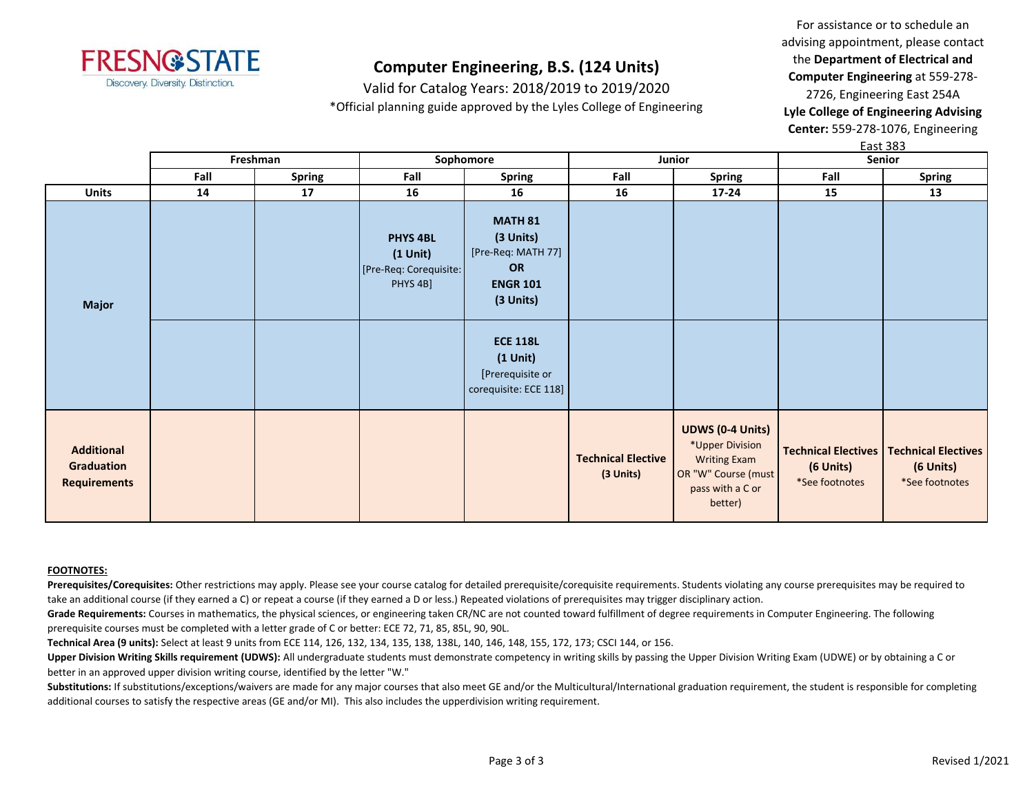

Valid for Catalog Years: 2018/2019 to 2019/2020 \*Official planning guide approved by the Lyles College of Engineering

For assistance or to schedule an advising appointment, please contact the **Department of Electrical and Computer Engineering** at 559-278- 2726, Engineering East 254A **Lyle College of Engineering Advising Center:** 559-278-1076, Engineering  $E$ act 202

|                                                        | Freshman |               | Sophomore                                                              |                                                                                         | Junior                                 |                                                                                                                         | гаэг эоэ<br>Senior          |                                                                                 |
|--------------------------------------------------------|----------|---------------|------------------------------------------------------------------------|-----------------------------------------------------------------------------------------|----------------------------------------|-------------------------------------------------------------------------------------------------------------------------|-----------------------------|---------------------------------------------------------------------------------|
|                                                        | Fall     | <b>Spring</b> | Fall                                                                   | <b>Spring</b>                                                                           | Fall                                   | <b>Spring</b>                                                                                                           | Fall                        | <b>Spring</b>                                                                   |
| <b>Units</b>                                           | 14       | 17            | 16                                                                     | 16                                                                                      | 16                                     | 17-24                                                                                                                   | 15                          | 13                                                                              |
| <b>Major</b>                                           |          |               | <b>PHYS 4BL</b><br>$(1$ Unit $)$<br>[Pre-Req: Corequisite:<br>PHYS 4B] | <b>MATH 81</b><br>(3 Units)<br>[Pre-Req: MATH 77]<br>OR<br><b>ENGR 101</b><br>(3 Units) |                                        |                                                                                                                         |                             |                                                                                 |
|                                                        |          |               |                                                                        | <b>ECE 118L</b><br>$(1$ Unit $)$<br>[Prerequisite or<br>corequisite: ECE 118]           |                                        |                                                                                                                         |                             |                                                                                 |
| <b>Additional</b><br>Graduation<br><b>Requirements</b> |          |               |                                                                        |                                                                                         | <b>Technical Elective</b><br>(3 Units) | <b>UDWS (0-4 Units)</b><br>*Upper Division<br><b>Writing Exam</b><br>OR "W" Course (must<br>pass with a C or<br>better) | (6 Units)<br>*See footnotes | <b>Technical Electives   Technical Electives</b><br>(6 Units)<br>*See footnotes |

#### **FOOTNOTES:**

Prerequisites/Corequisites: Other restrictions may apply. Please see your course catalog for detailed prerequisite/corequisite requirements. Students violating any course prerequisites may be required to take an additional course (if they earned a C) or repeat a course (if they earned a D or less.) Repeated violations of prerequisites may trigger disciplinary action.

Grade Requirements: Courses in mathematics, the physical sciences, or engineering taken CR/NC are not counted toward fulfillment of degree requirements in Computer Engineering. The following prerequisite courses must be completed with a letter grade of C or better: ECE 72, 71, 85, 85L, 90, 90L.

**Technical Area (9 units):** Select at least 9 units from ECE 114, 126, 132, 134, 135, 138, 138L, 140, 146, 148, 155, 172, 173; CSCI 144, or 156.

Upper Division Writing Skills requirement (UDWS): All undergraduate students must demonstrate competency in writing skills by passing the Upper Division Writing Exam (UDWE) or by obtaining a C or better in an approved upper division writing course, identified by the letter "W."

Substitutions: If substitutions/exceptions/waivers are made for any major courses that also meet GE and/or the Multicultural/International graduation requirement, the student is responsible for completing additional courses to satisfy the respective areas (GE and/or MI). This also includes the upperdivision writing requirement.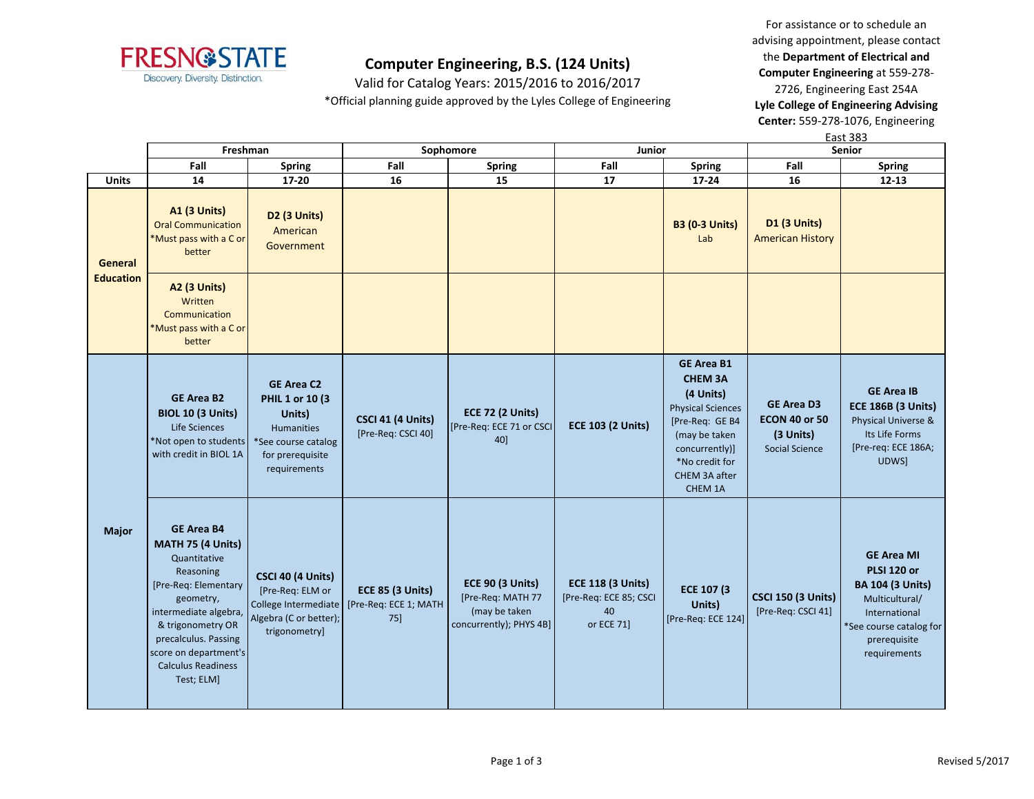

Valid for Catalog Years: 2015/2016 to 2016/2017 \*Official planning guide approved by the Lyles College of Engineering

For assistance or to schedule an advising appointment, please contact the **Department of Electrical and Computer Engineering** at 559-278- 2726, Engineering East 254A

**Lyle College of Engineering Advising Center:** 559-278-1076, Engineering

|                                    |                                                                                                                                                                                                                                                    |                                                                                                                                |                                                            |                                                                                          |                                                                        |                                                                                                                                                                                  |                                                                          | <b>East 383</b>                                                                                                                                                  |  |
|------------------------------------|----------------------------------------------------------------------------------------------------------------------------------------------------------------------------------------------------------------------------------------------------|--------------------------------------------------------------------------------------------------------------------------------|------------------------------------------------------------|------------------------------------------------------------------------------------------|------------------------------------------------------------------------|----------------------------------------------------------------------------------------------------------------------------------------------------------------------------------|--------------------------------------------------------------------------|------------------------------------------------------------------------------------------------------------------------------------------------------------------|--|
|                                    | Freshman                                                                                                                                                                                                                                           |                                                                                                                                | Sophomore                                                  |                                                                                          | Junior                                                                 |                                                                                                                                                                                  | <b>Senior</b>                                                            |                                                                                                                                                                  |  |
|                                    | Fall                                                                                                                                                                                                                                               | <b>Spring</b>                                                                                                                  | Fall                                                       | <b>Spring</b>                                                                            | Fall                                                                   | <b>Spring</b>                                                                                                                                                                    | Fall                                                                     | <b>Spring</b>                                                                                                                                                    |  |
| <b>Units</b>                       | 14                                                                                                                                                                                                                                                 | $17 - 20$                                                                                                                      | 16                                                         | 15                                                                                       | 17                                                                     | 17-24                                                                                                                                                                            | 16                                                                       | $12 - 13$                                                                                                                                                        |  |
| <b>General</b><br><b>Education</b> | A1 (3 Units)<br><b>Oral Communication</b><br>*Must pass with a C or<br>better                                                                                                                                                                      | D2 (3 Units)<br>American<br>Government                                                                                         |                                                            |                                                                                          |                                                                        | <b>B3 (0-3 Units)</b><br>Lab                                                                                                                                                     | <b>D1 (3 Units)</b><br><b>American History</b>                           |                                                                                                                                                                  |  |
|                                    | <b>A2 (3 Units)</b><br>Written<br>Communication<br>*Must pass with a C or<br>better                                                                                                                                                                |                                                                                                                                |                                                            |                                                                                          |                                                                        |                                                                                                                                                                                  |                                                                          |                                                                                                                                                                  |  |
|                                    | <b>GE Area B2</b><br><b>BIOL 10 (3 Units)</b><br>Life Sciences<br>*Not open to students<br>with credit in BIOL 1A                                                                                                                                  | <b>GE Area C2</b><br>PHIL 1 or 10 (3<br>Units)<br><b>Humanities</b><br>*See course catalog<br>for prerequisite<br>requirements | CSCI 41 (4 Units)<br>[Pre-Req: CSCI 40]                    | <b>ECE 72 (2 Units)</b><br>[Pre-Req: ECE 71 or CSCI<br>40]                               | <b>ECE 103 (2 Units)</b>                                               | <b>GE Area B1</b><br><b>CHEM 3A</b><br>(4 Units)<br><b>Physical Sciences</b><br>[Pre-Req: GE B4<br>(may be taken<br>concurrently)]<br>*No credit for<br>CHEM 3A after<br>CHEM 1A | <b>GE Area D3</b><br><b>ECON 40 or 50</b><br>(3 Units)<br>Social Science | <b>GE Area IB</b><br><b>ECE 186B (3 Units)</b><br>Physical Universe &<br>Its Life Forms<br>[Pre-req: ECE 186A;<br>UDWS]                                          |  |
| Major                              | <b>GE Area B4</b><br>MATH 75 (4 Units)<br>Quantitative<br>Reasoning<br>[Pre-Req: Elementary<br>geometry,<br>intermediate algebra,<br>& trigonometry OR<br>precalculus. Passing<br>score on department's<br><b>Calculus Readiness</b><br>Test; ELM] | <b>CSCI 40 (4 Units)</b><br>[Pre-Req: ELM or<br>College Intermediate<br>Algebra (C or better);<br>trigonometry]                | <b>ECE 85 (3 Units)</b><br>[Pre-Req: ECE 1; MATH<br>$75$ ] | <b>ECE 90 (3 Units)</b><br>[Pre-Req: MATH 77<br>(may be taken<br>concurrently); PHYS 4B] | <b>ECE 118 (3 Units)</b><br>[Pre-Req: ECE 85; CSCI<br>40<br>or ECE 71] | ECE 107 (3<br>Units)<br>[Pre-Req: ECE 124]                                                                                                                                       | <b>CSCI 150 (3 Units)</b><br>[Pre-Req: CSCI 41]                          | <b>GE Area MI</b><br><b>PLSI 120 or</b><br><b>BA 104 (3 Units)</b><br>Multicultural/<br>International<br>*See course catalog for<br>prerequisite<br>requirements |  |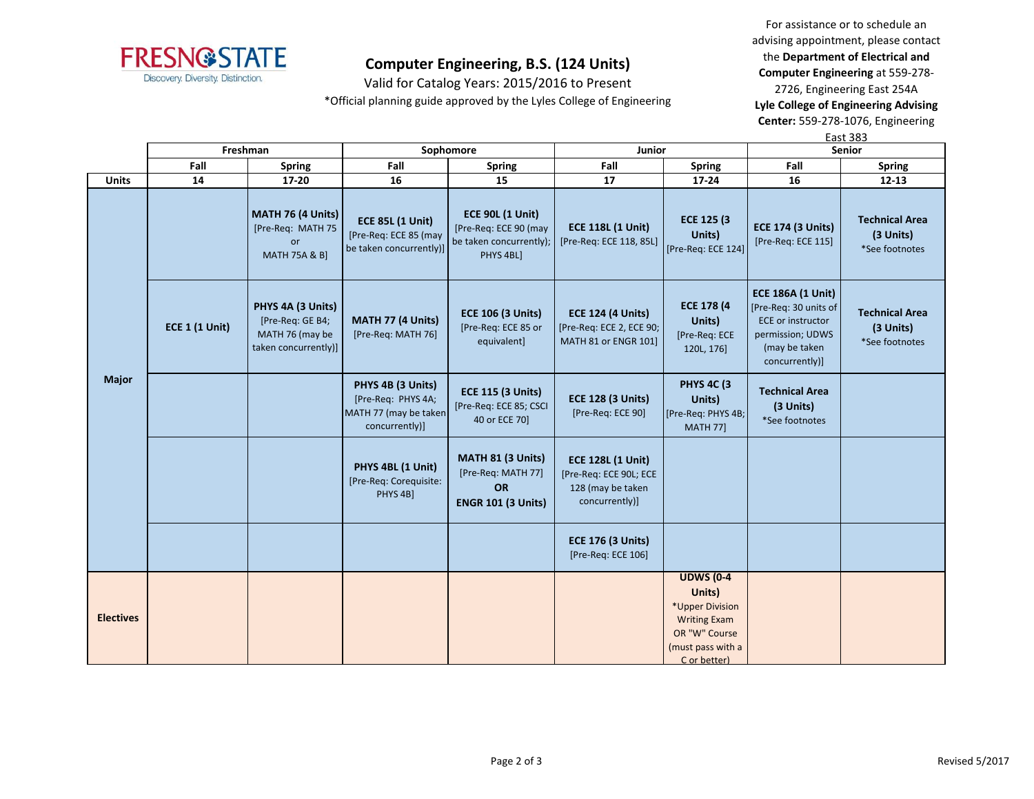

Valid for Catalog Years: 2015/2016 to Present \*Official planning guide approved by the Lyles College of Engineering

For assistance or to schedule an advising appointment, please contact the **Department of Electrical and Computer Engineering** at 559-278-

2726, Engineering East 254A **Lyle College of Engineering Advising Center:** 559-278-1076, Engineering

East 383

|                  | Freshman              |                                                                                  |                                                                                    | Sophomore                                                                                | Junior                                                                                    |                                                                                                                            | Senior                                                                                                                               |                                                      |
|------------------|-----------------------|----------------------------------------------------------------------------------|------------------------------------------------------------------------------------|------------------------------------------------------------------------------------------|-------------------------------------------------------------------------------------------|----------------------------------------------------------------------------------------------------------------------------|--------------------------------------------------------------------------------------------------------------------------------------|------------------------------------------------------|
|                  | Fall                  | <b>Spring</b>                                                                    | Fall                                                                               | <b>Spring</b>                                                                            | Fall                                                                                      | <b>Spring</b>                                                                                                              | Fall                                                                                                                                 | <b>Spring</b>                                        |
| <b>Units</b>     | 14                    | 17-20                                                                            | 16                                                                                 | 15                                                                                       | 17                                                                                        | 17-24                                                                                                                      | 16                                                                                                                                   | $12 - 13$                                            |
| <b>Major</b>     |                       | MATH 76 (4 Units)<br>[Pre-Req: MATH 75<br>or<br><b>MATH 75A &amp; B]</b>         | <b>ECE 85L (1 Unit)</b><br>[Pre-Req: ECE 85 (may<br>be taken concurrently)]        | <b>ECE 90L (1 Unit)</b><br>[Pre-Req: ECE 90 (may<br>be taken concurrently);<br>PHYS 4BL] | <b>ECE 118L (1 Unit)</b><br>[Pre-Req: ECE 118, 85L]                                       | ECE 125 (3)<br>Units)<br>[Pre-Req: ECE 124]                                                                                | <b>ECE 174 (3 Units)</b><br>[Pre-Req: ECE 115]                                                                                       | <b>Technical Area</b><br>(3 Units)<br>*See footnotes |
|                  | <b>ECE 1 (1 Unit)</b> | PHYS 4A (3 Units)<br>[Pre-Req: GE B4;<br>MATH 76 (may be<br>taken concurrently)] | MATH 77 (4 Units)<br>[Pre-Req: MATH 76]                                            | <b>ECE 106 (3 Units)</b><br>[Pre-Req: ECE 85 or<br>equivalent]                           | <b>ECE 124 (4 Units)</b><br>[Pre-Req: ECE 2, ECE 90;<br>MATH 81 or ENGR 101]              | <b>ECE 178 (4)</b><br>Units)<br>[Pre-Req: ECE<br>120L, 176]                                                                | <b>ECE 186A (1 Unit)</b><br>[Pre-Req: 30 units of<br><b>ECE or instructor</b><br>permission; UDWS<br>(may be taken<br>concurrently)] | <b>Technical Area</b><br>(3 Units)<br>*See footnotes |
|                  |                       |                                                                                  | PHYS 4B (3 Units)<br>[Pre-Req: PHYS 4A;<br>MATH 77 (may be taken<br>concurrently)] | <b>ECE 115 (3 Units)</b><br>[Pre-Req: ECE 85; CSCI<br>40 or ECE 70]                      | <b>ECE 128 (3 Units)</b><br>[Pre-Req: ECE 90]                                             | <b>PHYS 4C (3)</b><br>Units)<br>[Pre-Req: PHYS 4B;<br><b>MATH 77]</b>                                                      | <b>Technical Area</b><br>(3 Units)<br>*See footnotes                                                                                 |                                                      |
|                  |                       |                                                                                  | PHYS 4BL (1 Unit)<br>[Pre-Req: Corequisite:<br>PHYS 4B]                            | MATH 81 (3 Units)<br>[Pre-Req: MATH 77]<br><b>OR</b><br><b>ENGR 101 (3 Units)</b>        | <b>ECE 128L (1 Unit)</b><br>[Pre-Req: ECE 90L; ECE<br>128 (may be taken<br>concurrently)] |                                                                                                                            |                                                                                                                                      |                                                      |
|                  |                       |                                                                                  |                                                                                    |                                                                                          | <b>ECE 176 (3 Units)</b><br>[Pre-Req: ECE 106]                                            |                                                                                                                            |                                                                                                                                      |                                                      |
| <b>Electives</b> |                       |                                                                                  |                                                                                    |                                                                                          |                                                                                           | <b>UDWS (0-4</b><br>Units)<br>*Upper Division<br><b>Writing Exam</b><br>OR "W" Course<br>(must pass with a<br>C or better) |                                                                                                                                      |                                                      |